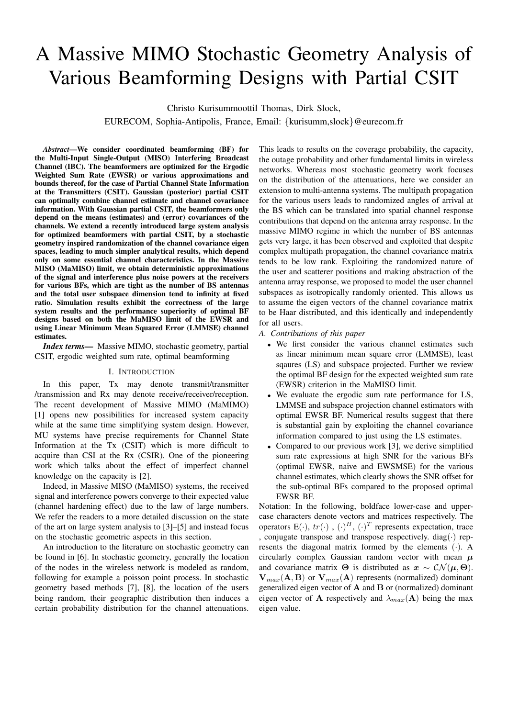# A Massive MIMO Stochastic Geometry Analysis of Various Beamforming Designs with Partial CSIT

Christo Kurisummoottil Thomas, Dirk Slock,

EURECOM, Sophia-Antipolis, France, Email: {kurisumm,slock}@eurecom.fr

*Abstract*—We consider coordinated beamforming (BF) for the Multi-Input Single-Output (MISO) Interfering Broadcast Channel (IBC). The beamformers are optimized for the Ergodic Weighted Sum Rate (EWSR) or various approximations and bounds thereof, for the case of Partial Channel State Information at the Transmitters (CSIT). Gaussian (posterior) partial CSIT can optimally combine channel estimate and channel covariance information. With Gaussian partial CSIT, the beamformers only depend on the means (estimates) and (error) covariances of the channels. We extend a recently introduced large system analysis for optimized beamformers with partial CSIT, by a stochastic geometry inspired randomization of the channel covariance eigen spaces, leading to much simpler analytical results, which depend only on some essential channel characteristics. In the Massive MISO (MaMISO) limit, we obtain deterministic approximations of the signal and interference plus noise powers at the receivers for various BFs, which are tight as the number of BS antennas and the total user subspace dimension tend to infinity at fixed ratio. Simulation results exhibit the correctness of the large system results and the performance superiority of optimal BF designs based on both the MaMISO limit of the EWSR and using Linear Minimum Mean Squared Error (LMMSE) channel estimates.

*Index terms—* Massive MIMO, stochastic geometry, partial CSIT, ergodic weighted sum rate, optimal beamforming

#### I. INTRODUCTION

In this paper, Tx may denote transmit/transmitter /transmission and Rx may denote receive/receiver/reception. The recent development of Massive MIMO (MaMIMO) [1] opens new possibilities for increased system capacity while at the same time simplifying system design. However, MU systems have precise requirements for Channel State Information at the Tx (CSIT) which is more difficult to acquire than CSI at the Rx (CSIR). One of the pioneering work which talks about the effect of imperfect channel knowledge on the capacity is [2].

Indeed, in Massive MISO (MaMISO) systems, the received signal and interference powers converge to their expected value (channel hardening effect) due to the law of large numbers. We refer the readers to a more detailed discussion on the state of the art on large system analysis to [3]–[5] and instead focus on the stochastic geometric aspects in this section.

An introduction to the literature on stochastic geometry can be found in [6]. In stochastic geometry, generally the location of the nodes in the wireless network is modeled as random, following for example a poisson point process. In stochastic geometry based methods [7], [8], the location of the users being random, their geographic distribution then induces a certain probability distribution for the channel attenuations.

This leads to results on the coverage probability, the capacity, the outage probability and other fundamental limits in wireless networks. Whereas most stochastic geometry work focuses on the distribution of the attenuations, here we consider an extension to multi-antenna systems. The multipath propagation for the various users leads to randomized angles of arrival at the BS which can be translated into spatial channel response contributions that depend on the antenna array response. In the massive MIMO regime in which the number of BS antennas gets very large, it has been observed and exploited that despite complex multipath propagation, the channel covariance matrix tends to be low rank. Exploiting the randomized nature of the user and scatterer positions and making abstraction of the antenna array response, we proposed to model the user channel subspaces as isotropically randomly oriented. This allows us to assume the eigen vectors of the channel covariance matrix to be Haar distributed, and this identically and independently for all users.

- *A. Contributions of this paper*
	- We first consider the various channel estimates such as linear minimum mean square error (LMMSE), least sqaures (LS) and subspace projected. Further we review the optimal BF design for the expected weighted sum rate (EWSR) criterion in the MaMISO limit.
	- We evaluate the ergodic sum rate performance for LS, LMMSE and subspace projection channel estimators with optimal EWSR BF. Numerical results suggest that there is substantial gain by exploiting the channel covariance information compared to just using the LS estimates.
	- Compared to our previous work [3], we derive simplified sum rate expressions at high SNR for the various BFs (optimal EWSR, naive and EWSMSE) for the various channel estimates, which clearly shows the SNR offset for the sub-optimal BFs compared to the proposed optimal EWSR BF.

Notation: In the following, boldface lower-case and uppercase characters denote vectors and matrices respectively. The operators  $E(\cdot)$ ,  $tr(\cdot)$ ,  $(\cdot)^H$ ,  $(\cdot)^T$  represents expectation, trace , conjugate transpose and transpose respectively.  $diag(\cdot)$  represents the diagonal matrix formed by the elements (·). A circularly complex Gaussian random vector with mean  $\mu$ and covariance matrix  $\Theta$  is distributed as  $x \sim \mathcal{CN}(\mu, \Theta)$ .  $V_{max}(A, B)$  or  $V_{max}(A)$  represents (normalized) dominant generalized eigen vector of A and B or (normalized) dominant eigen vector of **A** respectively and  $\lambda_{max}(\mathbf{A})$  being the max eigen value.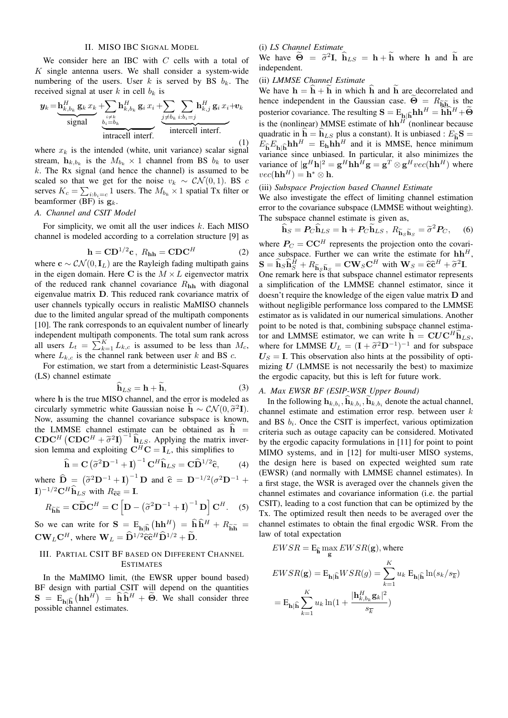## II. MISO IBC SIGNAL MODEL

We consider here an IBC with  $C$  cells with a total of  $K$  single antenna users. We shall consider a system-wide numbering of the users. User k is served by BS  $b_k$ . The received signal at user k in cell  $b_k$  is

$$
\mathbf{y}_{k} = \underbrace{\mathbf{h}_{k,b_{k}}^{H} \mathbf{g}_{k} x_{k}}_{\text{signal}} + \underbrace{\sum_{i \neq k} \mathbf{h}_{k,b_{k}}^{H} \mathbf{g}_{i} x_{i}}_{\text{intracellular interval interf.}} + \underbrace{\sum_{j \neq b_{k}} \sum_{i:b_{i}=j} \mathbf{h}_{k,j}^{H} \mathbf{g}_{i} x_{i}}_{\text{intercell interf.}} + \underbrace{\mathbf{h}_{k,b_{k}}^{H} \mathbf{g}_{i} x_{i}}_{\text{intractal interf.}} \tag{1}
$$

where  $x_k$  is the intended (white, unit variance) scalar signal stream,  $\mathbf{h}_{k, b_k}$  is the  $M_{b_k} \times 1$  channel from BS  $b_k$  to user  $k$ . The Rx signal (and hence the channel) is assumed to be scaled so that we get for the noise  $v_k \sim \mathcal{CN}(0, 1)$ . BS c serves  $K_c = \sum_{i:b_i=c} 1$  users. The  $M_{b_k} \times 1$  spatial Tx filter or beamformer (BF) is  $\mathbf{g}_k$ .

### *A. Channel and CSIT Model*

For simplicity, we omit all the user indices  $k$ . Each MISO channel is modeled according to a correlation structure [9] as

$$
\mathbf{h} = \mathbf{C} \mathbf{D}^{1/2} \mathbf{c}, \ R_{\mathbf{h}\mathbf{h}} = \mathbf{C} \mathbf{D} \mathbf{C}^H \tag{2}
$$

where  $\mathbf{c} \sim \mathcal{CN}(0, \mathbf{I}_L)$  are the Rayleigh fading multipath gains in the eigen domain. Here C is the  $M \times L$  eigenvector matrix of the reduced rank channel covariance  $R_{hh}$  with diagonal eigenvalue matrix D. This reduced rank covariance matrix of user channels typically occurs in realistic MaMISO channels due to the limited angular spread of the multipath components [10]. The rank corresponds to an equivalent number of linearly independent multipath components. The total sum rank across all users  $L_t = \sum_{k=1}^{K} L_{k,c}$  is assumed to be less than  $M_c$ , where  $L_{k,c}$  is the channel rank between user k and BS c.

For estimation, we start from a deterministic Least-Squares (LS) channel estimate

$$
\mathbf{h}_{LS} = \mathbf{h} + \mathbf{h},\tag{3}
$$

where h is the true MISO channel, and the error is modeled as circularly symmetric white Gaussian noise  $\mathbf{\tilde{h}} \sim \mathcal{CN}(0, \tilde{\sigma}^2 \mathbf{I}).$ <br>Now assuming the channel covariance subspace is known Now, assuming the channel covariance subspace is known, the LMMSE channel estimate can be obtained as  $h =$ CDC<sup>H</sup> (CDC<sup>H</sup> +  $\tilde{\sigma}^2$ I)<sup>-1</sup> $\hat{h}_{LS}$ . Applying the matrix inver-<br>sion lamma and exploiting  $C^{H}C = I$ , this simplifies to sion lemma and exploiting  $C^H C = I_L$ , this simplifies to

$$
\widehat{\mathbf{h}} = \mathbf{C} \left( \widetilde{\sigma}^2 \mathbf{D}^{-1} + \mathbf{I} \right)^{-1} \mathbf{C}^H \widehat{\mathbf{h}}_{LS} = \mathbf{C} \widehat{\mathbf{D}}^{1/2} \widehat{\mathbf{c}},\qquad(4)
$$

where  $\hat{\mathbf{D}} = (\tilde{\sigma}^2 \mathbf{D}^{-1} + \mathbf{I})^{-1} \mathbf{D}$  and  $\hat{\mathbf{c}} = \mathbf{D}^{-1/2} (\sigma^2 \mathbf{D}^{-1} + \mathbf{I})^{-1/2} \mathbf{C} \mathbf{H} \hat{\mathbf{n}}$  $\mathbf{I}$ )<sup>-1/2</sup>C<sup>H</sup> $\hat{\mathbf{h}}_{LS}$  with  $R_{\widetilde{\mathbf{cc}}} = \mathbf{I}$ .

$$
R_{\widetilde{\mathbf{h}}\widetilde{\mathbf{h}}} = \mathbf{C}\widetilde{\mathbf{D}}\mathbf{C}^{H} = \mathbf{C}\left[\mathbf{D} - \left(\widetilde{\sigma}^{2}\mathbf{D}^{-1} + \mathbf{I}\right)^{-1}\mathbf{D}\right]\mathbf{C}^{H}.
$$
 (5)

So we can write for  $S = E_{h|\hat{h}}(h h^H) = \hat{h} \hat{h}^H + R_{\tilde{h}\tilde{h}} =$  $\mathbf{CW}_L \mathbf{C}^H$ , where  $\mathbf{W}_L = \widehat{\mathbf{D}}^{1/2} \widehat{\mathbf{c}} \widehat{\mathbf{c}}^H \widehat{\mathbf{D}}^{1/2} + \widehat{\mathbf{D}}.$ 

## III. PARTIAL CSIT BF BASED ON DIFFERENT CHANNEL ESTIMATES

In the MaMIMO limit, (the EWSR upper bound based) BF design with partial CSIT will depend on the quantities  $S = E_{h|\hat{h}}(hh^H) = h\hat{h}^H + \tilde{\Theta}$ . We shall consider three possible channel estimates.

## (i) *LS Channel Estimate*

We have  $\ddot{\Theta} = \tilde{\sigma}^2 I$ ,  $\hat{h}_{LS} = h + \dot{h}$  where h and h are independent.

## (ii) *LMMSE Channel Estimate*

We have  $h = \hat{h} + \hat{h}$  in which  $\hat{h}$  and  $\hat{h}$  are decorrelated and hence independent in the Gaussian case.  $\widetilde{\Theta} = R_{\widetilde{h} \widetilde{h}}$  is the posterior covariance. The resulting  $S = E_{h|\hat{h}}hh^H = \overline{\hat{h}h}^H + \widetilde{\Theta}$ is the (nonlinear) MMSE estimate of  $\mathbf{h} \mathbf{h}^{H'}$  (nonlinear because quadratic in  $h = h_{LS}$  plus a constant). It is unbiased :  $E_{\hat{h}}S$  =  $E_{\hat{\mathbf{b}}}E_{\mathbf{b}}\hat{\mathbf{b}}\mathbf{h}\mathbf{h}^H = \mathbf{E}_{\mathbf{h}}\mathbf{h}\mathbf{h}^H$  and it is MMSE, hence minimum variance since unbiased. In particular, it also minimizes the variance of  $|\mathbf{g}^H \mathbf{h}|^2 = \mathbf{g}^H \mathbf{h} \mathbf{h}^H \mathbf{g} = \mathbf{g}^T \otimes \mathbf{g}^H vec(\mathbf{h} \mathbf{h}^H)$  where  $vec(\textbf{h}\textbf{h}^H) = \textbf{h}^* \otimes \textbf{h}.$ 

## (iii) *Subspace Projection based Channel Estimate*

We also investigate the effect of limiting channel estimation error to the covariance subspace (LMMSE without weighting). The subspace channel estimate is given as,

$$
\widehat{\mathbf{h}}_S = P_C \widehat{\mathbf{h}}_{LS} = \mathbf{h} + P_C \widetilde{\mathbf{h}}_{LS}, \ R_{\widetilde{\mathbf{h}}_S \widetilde{\mathbf{h}}_S} = \widetilde{\sigma}^2 P_C, \quad (6)
$$

where  $P_C = \mathbf{CC}^H$  represents the projection onto the covariance subspace. Further we can write the estimate for  $\mathbf{h}\mathbf{h}^H$ ,  $\mathbf{S} = \hat{\mathbf{h}}_S \hat{\mathbf{h}}_S^H + R_{\tilde{\mathbf{h}}_S \tilde{\mathbf{h}}_S} = \mathbf{C} \mathbf{W}_S \mathbf{C}^H$  with  $\mathbf{W}_S = \hat{\mathbf{c}} \hat{\mathbf{c}}^H + \tilde{\sigma}^2 \mathbf{I}$ . One remark here is that subspace channel estimator represents a simplification of the LMMSE channel estimator, since it doesn't require the knowledge of the eigen value matrix D and without negligible performance loss compared to the LMMSE estimator as is validated in our numerical simulations. Another point to be noted is that, combining subspace channel estimator and LMMSE estimator, we can write  $h = CUC<sup>H</sup>h<sub>LS</sub>$ , where for LMMSE  $U_L = (\mathbf{I} + \tilde{\sigma}^2 \mathbf{D}^{-1})^{-1}$  and for subspace  $\mathbf{U}_R - \mathbf{I}$ . This observation also bints at the possibility of onti- $U<sub>S</sub> = I$ . This observation also hints at the possibility of optimizing  $U$  (LMMSE is not necessarily the best) to maximize the ergodic capacity, but this is left for future work.

## *A. Max EWSR BF (ESIP-WSR Upper Bound)*

In the following  $\mathbf{h}_{k,b_i}, \mathbf{h}_{k,b_i}, \mathbf{h}_{k,b_i}$  denote the actual channel, channel estimate and estimation error resp. between user k and BS  $b_i$ . Once the CSIT is imperfect, various optimization criteria such as outage capacity can be considered. Motivated by the ergodic capacity formulations in [11] for point to point MIMO systems, and in [12] for multi-user MISO systems, the design here is based on expected weighted sum rate (EWSR) (and normally with LMMSE channel estimates). In a first stage, the WSR is averaged over the channels given the channel estimates and covariance information (i.e. the partial CSIT), leading to a cost function that can be optimized by the Tx. The optimized result then needs to be averaged over the channel estimates to obtain the final ergodic WSR. From the law of total expectation

$$
EWSR = \mathbf{E}_{\widehat{\mathbf{h}}} \max_{\mathbf{g}} EWSR(\mathbf{g}), \text{where}
$$

$$
\begin{aligned} EWSR(\mathbf{g}) & = \mathrm{E}_{\mathbf{h} | \widehat{\mathbf{h}}} WSR(g) = \sum_{k=1}^K u_k \; \mathrm{E}_{\mathbf{h} | \widehat{\mathbf{h}}} \ln (s_k / s_{\overline{k}}) \\ & = \mathrm{E}_{\mathbf{h} | \widehat{\mathbf{h}}} \sum_{k=1}^K u_k \ln \bigl( 1 + \frac{|\mathbf{h}^H_{k,b_k} \mathbf{g}_k|^2}{s_{\overline{k}}} \bigr) \end{aligned}
$$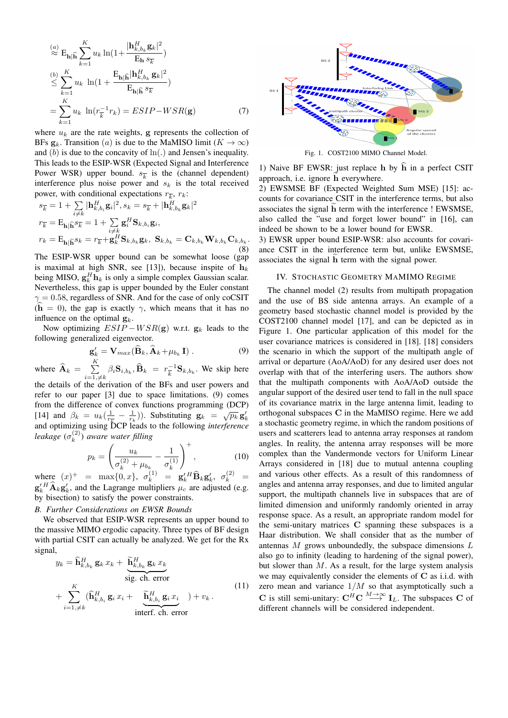$$
\stackrel{(a)}{\approx} \mathbf{E}_{\mathbf{h}|\widehat{\mathbf{h}}}\sum_{k=1}^{K} u_k \ln\left(1 + \frac{|\mathbf{h}_{k,b_k}^H \mathbf{g}_k|^2}{\mathbf{E}_{\mathbf{h}} s_{\overline{k}}}\right)
$$
\n
$$
\stackrel{(b)}{\leq} \sum_{k=1}^{K} u_k \ln\left(1 + \frac{\mathbf{E}_{\mathbf{h}|\widehat{\mathbf{h}}}\left|\mathbf{h}_{k,b_k}^H \mathbf{g}_k\right|^2}{\mathbf{E}_{\mathbf{h}|\widehat{\mathbf{h}}}\ s_{\overline{k}}}\right)
$$
\n
$$
= \sum_{k=1}^{K} u_k \ln\left(r_{\overline{k}}^{-1} r_k\right) = ESIP - WSR(\mathbf{g}) \tag{7}
$$

where  $u_k$  are the rate weights, g represents the collection of BFs  $\mathbf{g}_k$ . Transition (*a*) is due to the MaMISO limit ( $K \to \infty$ ) and  $(b)$  is due to the concavity of  $\ln(.)$  and Jensen's inequality. This leads to the ESIP-WSR (Expected Signal and Interference Power WSR) upper bound.  $s_{\overline{k}}$  is the (channel dependent) interference plus noise power and  $s_k$  is the total received power, with conditional expectations  $r_{\overline{k}}$ ,  $r_k$ :

$$
s_{\overline{k}} = 1 + \sum_{i \neq k} |\mathbf{h}_{k,b_i}^H \mathbf{g}_i|^2, s_k = s_{\overline{k}} + |\mathbf{h}_{k,b_k}^H \mathbf{g}_k|^2
$$
  
\n
$$
r_{\overline{k}} = \mathbf{E}_{\mathbf{h} | \widehat{\mathbf{h}}} s_{\overline{k}} = 1 + \sum_{i \neq k} \mathbf{g}_i^H \mathbf{S}_{k,b_i} \mathbf{g}_i,
$$
  
\n
$$
r_k = \mathbf{E}_{\mathbf{h} | \widehat{\mathbf{h}}} s_k = r_{\overline{k}} + \mathbf{g}_k^H \mathbf{S}_{k,b_k} \mathbf{g}_k, \ \mathbf{S}_{k,b_k} = \mathbf{C}_{k,b_k} \mathbf{W}_{k,b_k} \mathbf{C}_{k,b_k}.
$$
 (8)

The ESIP-WSR upper bound can be somewhat loose (gap is maximal at high SNR, see [13]), because inspite of  $h_k$ being MISO,  $g_k^H h_k$  is only a simple complex Gaussian scalar. Nevertheless, this gap is upper bounded by the Euler constant  $\gamma = 0.58$ , regardless of SNR. And for the case of only coCSIT (h = 0), the gap is exactly  $\gamma$ , which means that it has no influence on the optimal  $\mathbf{g}_k$ .

Now optimizing  $ESIP-WSR(g)$  w.r.t.  $g_k$  leads to the following generalized eigenvector.

$$
\mathbf{g}'_k = \mathbf{V}_{max}(\widehat{\mathbf{B}}_k, \widehat{\mathbf{A}}_k + \mu_{b_k} \mathbf{I}) . \tag{9}
$$

where  $\widehat{\mathbf{A}}_k = \sum_{i=1}^K$  $\sum_{i=1,\neq k}^{\mathbf{\bar{r}}} \beta_i \mathbf{S}_{i,b_k}, \widehat{\mathbf{B}}_k \; = \; r_{\overline{k}}^{-1}$  $\frac{1}{k}$ <sup>-1</sup> $\mathbf{S}_{k,b_k}$ . We skip here the details of the derivation of the BFs and user powers and refer to our paper [3] due to space limitations. (9) comes from the difference of convex functions programming (DCP) Figure 1.1 and  $\beta_k = u_k(\frac{1}{r_k} - \frac{1}{r_k})$ . Substituting  $\mathbf{g}_k = \sqrt{p_k} \mathbf{g}'_k$  and optimizing using DCP leads to the following *interference leakage*  $(\sigma_k^{(2)})$ k ) *aware water filling*

$$
p_k = \left(\frac{u_k}{\sigma_k^{(2)} + \mu_{b_k}} - \frac{1}{\sigma_k^{(1)}}\right)^+, \tag{10}
$$

where  $(x)^{+}$  = max{0, x},  $\sigma_k^{(1)}$  =  $\mathbf{g}'_k^H \mathbf{\widehat{B}}_k \mathbf{g}'_k$ ,  $\sigma_k^{(2)}$  =  $\mathbf{g}'_k^H \hat{\mathbf{A}}_k \mathbf{g}'_k$ , and the Lagrange multipliers  $\mu_c$  are adjusted (e.g. by bisection) to satisfy the power constraints.

## *B. Further Considerations on EWSR Bounds*

We observed that ESIP-WSR represents an upper bound to the massive MIMO ergodic capacity. Three types of BF design with partial CSIT can actually be analyzed. We get for the Rx signal,

$$
y_k = \widehat{\mathbf{h}}_{k,b_k}^H \mathbf{g}_k x_k + \underbrace{\widetilde{\mathbf{h}}_{k,b_k}^H \mathbf{g}_k x_k}_{\text{sig. ch. error}} + \sum_{i=1,\neq k}^K (\widehat{\mathbf{h}}_{k,b_i}^H \mathbf{g}_i x_i + \underbrace{\widetilde{\mathbf{h}}_{k,b_i}^H \mathbf{g}_i x_i}_{\text{interf. ch. error}}) + v_k.
$$
\n(11)



Fig. 1. COST2100 MIMO Channel Model.

1) Naive BF EWSR: just replace h by  $\hat{h}$  in a perfect CSIT approach, i.e. ignore h everywhere.

2) EWSMSE BF (Expected Weighted Sum MSE) [15]: accounts for covariance CSIT in the interference terms, but also associates the signal  $\tilde{h}$  term with the interference ! EWSMSE, also called the "use and forget lower bound" in [16], can indeed be shown to be a lower bound for EWSR.

3) EWSR upper bound ESIP-WSR: also accounts for covariance CSIT in the interference term but, unlike EWSMSE, associates the signal h term with the signal power.

## IV. STOCHASTIC GEOMETRY MAMIMO REGIME

The channel model (2) results from multipath propagation and the use of BS side antenna arrays. An example of a geometry based stochastic channel model is provided by the COST2100 channel model [17], and can be depicted as in Figure 1. One particular application of this model for the user covariance matrices is considered in [18]. [18] considers the scenario in which the support of the multipath angle of arrival or departure (AoA/AoD) for any desired user does not overlap with that of the interfering users. The authors show that the multipath components with AoA/AoD outside the angular support of the desired user tend to fall in the null space of its covariance matrix in the large antenna limit, leading to orthogonal subspaces C in the MaMISO regime. Here we add a stochastic geometry regime, in which the random positions of users and scatterers lead to antenna array responses at random angles. In reality, the antenna array responses will be more complex than the Vandermonde vectors for Uniform Linear Arrays considered in [18] due to mutual antenna coupling and various other effects. As a result of this randomness of angles and antenna array responses, and due to limited angular support, the multipath channels live in subspaces that are of limited dimension and uniformly randomly oriented in array response space. As a result, an appropriate random model for the semi-unitary matrices C spanning these subspaces is a Haar distribution. We shall consider that as the number of antennas  $M$  grows unboundedly, the subspace dimensions  $L$ also go to infinity (leading to hardening of the signal power), but slower than  $M$ . As a result, for the large system analysis we may equivalently consider the elements of C as i.i.d. with zero mean and variance  $1/M$  so that asymptotically such a C is still semi-unitary:  $\mathbf{C}^H \mathbf{C} \stackrel{M \to \infty}{\longrightarrow} \mathbf{I}_L$ . The subspaces C of different channels will be considered independent.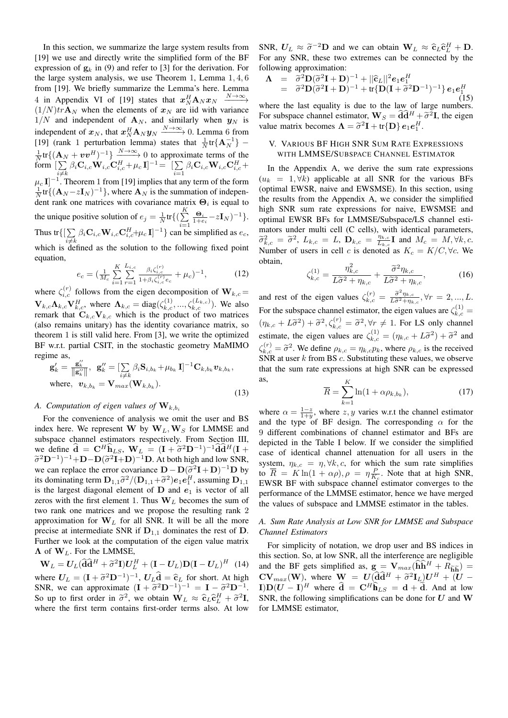In this section, we summarize the large system results from [19] we use and directly write the simplified form of the BF expression of  $g_k$  in (9) and refer to [3] for the derivation. For the large system analysis, we use Theorem 1, Lemma 1, 4, 6 from [19]. We briefly summarize the Lemma's here. Lemma 4 in Appendix VI of [19] states that  $x_N^H \mathbf{A}_N x_N \xrightarrow{N \to \infty}$  $(1/N)tr\mathbf{A}_N$  when the elements of  $x_N$  are iid with variance  $1/N$  and independent of  $\mathbf{A}_N$ , and similarly when  $y_N$  is independent of  $x_N$ , that  $x_N^H \mathbf{A}_N y_N \xrightarrow{N \to \infty} 0$ . Lemma 6 from [19] (rank 1 perturbation lemma) states that  $\frac{1}{N}$ tr $\{A_N^{-1}\}$  –  $\frac{1}{N}$ tr{( $\mathbf{A}_N + \mathbf{v}\mathbf{v}^H$ )<sup>-1</sup>} $\frac{N\rightarrow\infty}{N}$  0 to approximate terms of the form  $[\sum$  $\sum_{i\neq k} \beta_i \mathbf{C}_{i,c} \mathbf{W}_{i,c} \mathbf{C}_{i,c}^H + \mu_c \mathbf{I}^{-1} = \begin{bmatrix} \sum_{i=1}^n \end{bmatrix}$  $\sum\limits_{i=1} \beta_i \mathbf{C}_{i,c} \mathbf{W}_{i,c} \mathbf{C}_{i,c}^H +$  $\mu_c$  I]<sup>-1</sup>. Theorem 1 from [19] implies that any term of the form  $\frac{1}{N}$ tr{( $\mathbf{A}_N$ -z**I**<sub>N</sub>)<sup>-1</sup>}, where  $\mathbf{A}_N$  is the summation of independent rank one matrices with covariance matrix  $\Theta_i$  is equal to the unique positive solution of  $e_j = \frac{1}{N} tr\{(\sum_{i=1}^{K}$  $i=1$  $\frac{\Theta_i}{1+e_i} - z\mathbf{I}_N)^{-1} \}.$ Thus tr $\{[\sum$  $\sum_{i \neq k} \beta_i \mathbf{C}_{i,c} \mathbf{W}_{i,c} \mathbf{C}_{i,c}^H + \mu_c \mathbf{I}^{-1}$  can be simplified as  $e_c$ , which is defined as the solution to the following fixed point equation,

$$
e_c = \left(\frac{1}{M_c} \sum_{i=1}^{K} \sum_{r=1}^{L_{i,c}} \frac{\beta_i \zeta_{i,c}^{(r)}}{1 + \beta_i \zeta_{i,c}^{(r)} e_c} + \mu_c\right)^{-1},\tag{12}
$$

where  $\zeta_{i,c}^{(r)}$  follows from the eigen decomposition of  $\mathbf{W}_{k,c}$  =  $\mathbf{V}_{k,c} \mathbf{\Lambda}_{k,c} \mathbf{V}_{k,c}^H$ , where  $\mathbf{\Lambda}_{k,c} = \text{diag}(\zeta_{k,c}^{(1)},...,\zeta_{k,c}^{(L_{k,c})})$ . We also remark that  $C_{k,c}V_{k,c}$  which is the product of two matrices (also remains unitary) has the identity covariance matrix, so theorem 1 is still valid here. From [3], we write the optimized BF w.r.t. partial CSIT, in the stochastic geometry MaMIMO regime as,

$$
\mathbf{g}'_k = \frac{\mathbf{g}''_k}{\|\mathbf{g}''_k\|}, \ \mathbf{g}''_k = \left[\sum_{i \neq k} \beta_i \mathbf{S}_{i,b_k} + \mu_{b_k} \mathbf{I}\right]^{-1} \mathbf{C}_{k,b_k} \mathbf{v}_{k,b_k},
$$
\nwhere,  $\mathbf{v}_{k,b_k} = \mathbf{V}_{max}(\mathbf{W}_{k,b_k}).$  (13)

## *A. Computation of eigen values of*  $W_{k,b}$

For the convenience of analysis we omit the user and BS index here. We represent W by  $W_L, W_S$  for LMMSE and subspace channel estimators respectively. From Section III, we define  $\hat{\mathbf{d}} = \mathbf{C}^H \hat{\mathbf{h}}_{LS}$ ,  $\mathbf{W}_L = (\mathbf{I} + \tilde{\sigma}^2 \mathbf{D}^{-1})^{-1} \hat{\mathbf{d}} \hat{\mathbf{d}}^H (\mathbf{I} + \tilde{\sigma}^2 \mathbf{D}^{-1})^{-1} + \mathbf{D} - \mathbf{D} (\tilde{\sigma}^2 \mathbf{I} + \mathbf{D})^{-1} \mathbf{D}$ , at both bigh and low SNR  $(\tilde{\sigma}^2 D^{-1})^{-1} + D - D(\tilde{\sigma}^2 I + D)^{-1} D$ . At both high and low SNR, we can replace the error covariance  $D - D(\tilde{\sigma}^2 I + D)^{-1}D$  by<br>its dominating term  $D_{\sigma} \tilde{\sigma}^2 / (D_{\sigma} + \tilde{\sigma}^2) \alpha \rho H$  assuming  $D_{\sigma}$ . its dominating term  $\mathbf{D}_{1,1}\tilde{\sigma}^2/(\mathbf{D}_{1,1}+\tilde{\sigma}^2)e_1e_1^H$ , assuming  $\mathbf{D}_{1,1}$ <br>is the largest diagonal element of  $\mathbf{D}$  and  $e_1$  is vector of all is the largest diagonal element of  $D$  and  $e_1$  is vector of all zeros with the first element 1. Thus  $W_L$  becomes the sum of two rank one matrices and we propose the resulting rank 2 approximation for  $W_L$  for all SNR. It will be all the more precise at intermediate SNR if  $D_{1,1}$  dominates the rest of D. Further we look at the computation of the eigen value matrix  $\Lambda$  of  $W_L$ . For the LMMSE,

 $\mathbf{W}_L = \mathbf{U}_L (\widehat{\mathbf{d}} \widehat{\mathbf{d}}^H + \widetilde{\sigma}^2 \mathbf{I}) \mathbf{U}_L^H + (\mathbf{I} - \mathbf{U}_L) \mathbf{D} (\mathbf{I} - \mathbf{U}_L)^H$  (14) where  $U_L = (\mathbf{I} + \tilde{\sigma}^2 \mathbf{D}^{-1})^{-1}$ ,  $U_L \hat{\mathbf{d}} = \hat{\mathbf{c}}_L$  for short. At high SNP we can approximate  $(\mathbf{I} + \tilde{\sigma}^2 \mathbf{D}^{-1})^{-1} = \mathbf{I} - \tilde{\sigma}^2 \mathbf{D}^{-1}$ SNR, we can approximate  $(I + \tilde{\sigma}^2 D^{-1})^{-1} = I - \tilde{\sigma}^2 D^{-1}$ .<br>So up to first order in  $\tilde{\sigma}^2$ , we obtain  $W_i \approx \hat{\sigma} \cdot \hat{\sigma}^H + \tilde{\sigma}^2 I$ . So up to first order in  $\tilde{\sigma}^2$ , we obtain  $W_L \approx \tilde{c}_L \tilde{c}_L^H + \tilde{\sigma}^2 I$ ,<br>where the first term contains first order terms also At low where the first term contains first-order terms also. At low SNR,  $U_L \approx \tilde{\sigma}^{-2}D$  and we can obtain  $W_L \approx \hat{\epsilon}_L \hat{\epsilon}_L^H + D$ .<br>For any SNR, these two extremes can be connected by the For any SNR, these two extremes can be connected by the following approximation:

$$
\begin{array}{rcl}\n\mathbf{\Lambda} & = & \widetilde{\sigma}^2 \mathbf{D} (\widetilde{\sigma}^2 \mathbf{I} + \mathbf{D})^{-1} + ||\mathbf{\widehat{c}}_L||^2 \mathbf{e}_1 \mathbf{e}_1^H \\
& = & \widetilde{\sigma}^2 \mathbf{D} (\widetilde{\sigma}^2 \mathbf{I} + \mathbf{D})^{-1} + \text{tr} \{ \mathbf{D} (\mathbf{I} + \widetilde{\sigma}^2 \mathbf{D}^{-1})^{-1} \} \mathbf{e}_1 \mathbf{e}_1^H \\
& & (15)\n\end{array}
$$

where the last equality is due to the law of large numbers. For subspace channel estimator,  $\mathbf{W}_S = \mathbf{\hat{d}} \mathbf{\hat{d}}^H + \tilde{\sigma}^2 \mathbf{I}$ , the eigenvalue matrix becomes  $\mathbf{\Lambda} = \tilde{\tau}^2 \mathbf{I} + \text{tr}(\mathbf{D}) \mathbf{e}_L e^H$ value matrix becomes  $\mathbf{\Lambda} = \tilde{\sigma}^2 \mathbf{I} + \text{tr} \{ \mathbf{D} \} e_1 e_1^H$ .

## V. VARIOUS BF HIGH SNR SUM RATE EXPRESSIONS WITH LMMSE/SUBSPACE CHANNEL ESTIMATOR

In the Appendix A, we derive the sum rate expressions  $(u_k = 1, \forall k)$  applicable at all SNR for the various BFs (optimal EWSR, naive and EWSMSE). In this section, using the results from the Appendix A, we consider the simplified high SNR sum rate expressions for naive, EWSMSE and optimal EWSR BFs for LMMSE/Subspace/LS channel estimators under multi cell (C cells), with identical parameters,  $\widetilde{\sigma}_{k,c}^2 = \widetilde{\sigma}^2$ ,  $L_{k,c} = L$ ,  $\mathbf{D}_{k,c} = \frac{\eta_{k,c}}{L_{k,c}}$  $\frac{\eta_{k,c}}{L_{k,c}}$ **I** and  $M_c = M, \forall k, c$ . Number of users in cell c is denoted as  $K_c = K/C$ ,  $\forall c$ . We obtain,

$$
\zeta_{k,c}^{(1)} = \frac{\eta_{k,c}^2}{L\tilde{\sigma}^2 + \eta_{k,c}} + \frac{\tilde{\sigma}^2 \eta_{k,c}}{L\tilde{\sigma}^2 + \eta_{k,c}},\tag{16}
$$

and rest of the eigen values  $\zeta_{k,c}^{(r)} = \frac{\tilde{\sigma}^2 \eta_{k,c}}{L\tilde{\sigma}^2 + \eta_k}$  $\frac{\sigma \eta_{k,c}}{L\tilde{\sigma}^2+\eta_{k,c}}, \forall r=2,...,L.$ For the subspace channel estimator, the eigen values are  $\zeta_{k,c}^{(1)} =$  $(\eta_{k,c} + L\tilde{\sigma}^2) + \tilde{\sigma}^2, \zeta_{k,c}^{(r)} = \tilde{\sigma}^2, \forall r \neq 1$ . For LS only channel estimate, the eigen values are  $\zeta_{k,c}^{(1)} = (\eta_{k,c} + L\tilde{\sigma}^2) + \tilde{\sigma}^2$  and  $\zeta_{k,c}^{(r)} = \tilde{\sigma}^2$ . We define  $\rho_{k,c} = \eta_{k,c} p_k$ , where  $\rho_{k,c}$  is the received<br>SND at user k from BS c. Substituting these values, we observe SNR at user  $k$  from BS  $c$ . Substituting these values, we observe that the sum rate expressions at high SNR can be expressed as,  $\overline{\nu}$ 

$$
\overline{R} = \sum_{k=1}^{K} \ln(1 + \alpha \rho_{k, b_k}), \tag{17}
$$

where  $\alpha = \frac{1-z}{1+y}$ , where z, y varies w.r.t the channel estimator and the type of BF design. The corresponding  $\alpha$  for the 9 different combinations of channel estimator and BFs are depicted in the Table I below. If we consider the simplified case of identical channel attenuation for all users in the system,  $\eta_{k,c} = \eta, \forall k, c$ , for which the sum rate simplifies to  $\overline{R} = K \ln(1 + \alpha \rho), \rho = \eta \frac{P}{K_c}$ . Note that at high SNR, EWSR BF with subspace channel estimator converges to the performance of the LMMSE estimator, hence we have merged the values of subspace and LMMSE estimator in the tables.

## *A. Sum Rate Analysis at Low SNR for LMMSE and Subspace Channel Estimators*

For simplicity of notation, we drop user and BS indices in this section. So, at low SNR, all the interference are negligible and the BF gets simplified as,  $\mathbf{g} = \mathbf{V}_{max}(\mathbf{\hat{h}}\mathbf{\hat{h}}^H + R_{\mathbf{\hat{h}}\mathbf{\hat{h}}}) =$  $\mathbf{CV}_{max}(\mathbf{W})$ , where  $\mathbf{W} = U(\hat{\mathbf{d}}\hat{\mathbf{d}}^H + \tilde{\sigma}^2\mathbf{I}_L)U^H + (U - \mathbf{U})\mathbf{D}(U - \mathbf{I})^H$  where  $\hat{\mathbf{d}} = \mathbf{C}^H\hat{\mathbf{b}} = \mathbf{d} + \tilde{\mathbf{d}}$  and at law  $\mathbf{I}[\mathbf{D}(\mathbf{U}-\mathbf{I})^H$  where  $\hat{\mathbf{d}} = \mathbf{C}^H \hat{\mathbf{h}}_{LS} = \mathbf{d} + \tilde{\mathbf{d}}$ . And at low SNR, the following simplifications can be done for  $U$  and W for LMMSE estimator,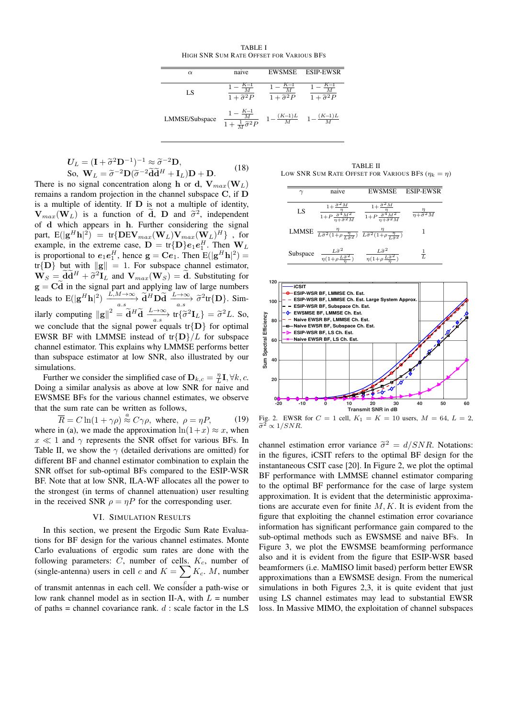TABLE I HIGH SNR SUM RATE OFFSET FOR VARIOUS BFS

| $\alpha$       | naive                                                        | <b>EWSMSE</b>                                | <b>ESIP-EWSR</b>                              |
|----------------|--------------------------------------------------------------|----------------------------------------------|-----------------------------------------------|
| LS             | $\overline{1+\tilde{\sigma}^2P}$                             | $\frac{K-1}{M}$<br>$1+\widetilde{\sigma}^2P$ | $\overline{1+\tilde{\sigma}^2P}$              |
| LMMSE/Subspace | $\frac{1-\frac{K-1}{M}}{1+\frac{1}{M}\widetilde{\sigma}^2P}$ |                                              | $1 - \frac{(K-1)L}{M}$ $1 - \frac{(K-1)L}{M}$ |

$$
U_L = (\mathbf{I} + \tilde{\sigma}^2 \mathbf{D}^{-1})^{-1} \approx \tilde{\sigma}^{-2} \mathbf{D},
$$
  
So,  $\mathbf{W}_L = \tilde{\sigma}^{-2} \mathbf{D} (\tilde{\sigma}^{-2} \tilde{\mathbf{d}} \tilde{\mathbf{d}}^H + \mathbf{I}_L) \mathbf{D} + \mathbf{D}.$  (18)  
no signal concentration along **h** or **d**  $\mathbf{V}$  (W<sub>1</sub>).

There is no signal concentration along h or d,  $V_{max}(W_L)$ remains a random projection in the channel subspace C, if D is a multiple of identity. If  $D$  is not a multiple of identity,  $\mathbf{V}_{max}(\mathbf{W}_L)$  is a function of  $\tilde{\mathbf{d}}$ ,  $\mathbf{D}$  and  $\tilde{\sigma}^2$ , independent<br>of d which appears in b Eurther considering the signal of d which appears in h. Further considering the signal part,  $\mathrm{E}(|\mathbf{g}^H\mathbf{h}|^2)$  = tr $\{\mathbf{DEV}_{max}(\mathbf{W}_L)\mathbf{V}_{max}(\mathbf{W}_L)^H\}$  , for example, in the extreme case,  $\mathbf{D} = \text{tr}\{\mathbf{D}\}e_1e_1^H$ . Then  $\mathbf{W}_L$ is proportional to  $e_1e_1^H$ , hence  $g = Ce_1$ . Then  $E(|g^Hh|^2) =$ tr{D} but with  $\|\mathbf{g}\| = 1$ . For subspace channel estimator,  $\mathbf{W}_S = \mathbf{\hat{d}} \mathbf{\hat{d}}^H + \tilde{\sigma}^2 \mathbf{I}_L$  and  $\mathbf{V}_{max}(\mathbf{W}_S) = \mathbf{\hat{d}}$ . Substituting for  $\sigma = \mathbf{C}\tilde{\mathbf{d}}$  in the signal part and applying law of large numbers  $g = Cd$  in the signal part and applying law of large numbers leads to  $E(|g^Hh|^2) \xrightarrow[a.s]{} \widetilde{d}^H \widetilde{D} \widetilde{d} \xrightarrow[a.s]{} \widetilde{\sigma}^2 tr\{D\}$ . Similarly computing  $||g||^2 = \tilde{d}^H \tilde{d} \xrightarrow[a.s]{L \to \infty} tr{\{\tilde{\sigma}^2 I_L\}} = \tilde{\sigma}^2 L$ . So, we conclude that the signal power equals  $tr{D}$  for optimal EWSR BF with LMMSE instead of  $tr{D}/L$  for subspace channel estimator. This explains why LMMSE performs better than subspace estimator at low SNR, also illustrated by our simulations.

Further we consider the simplified case of  $\mathbf{D}_{k,c} = \frac{\eta}{L} \mathbf{I}, \forall k, c$ . Doing a similar analysis as above at low SNR for naive and EWSMSE BFs for the various channel estimates, we observe that the sum rate can be written as follows,

 $\overline{R} = C \ln(1 + \gamma \rho) \stackrel{a}{\approx} C \gamma \rho$ , where,  $\rho = \eta P$ , (19) where in (a), we made the approximation  $ln(1+x) \approx x$ , when  $x \ll 1$  and  $\gamma$  represents the SNR offset for various BFs. In Table II, we show the  $\gamma$  (detailed derivations are omitted) for different BF and channel estimator combination to explain the SNR offset for sub-optimal BFs compared to the ESIP-WSR BF. Note that at low SNR, ILA-WF allocates all the power to the strongest (in terms of channel attenuation) user resulting in the received SNR  $\rho = \eta P$  for the corresponding user.

#### VI. SIMULATION RESULTS

In this section, we present the Ergodic Sum Rate Evaluations for BF design for the various channel estimates. Monte Carlo evaluations of ergodic sum rates are done with the following parameters:  $C$ , number of cells.  $K_c$ , number of (single-antenna) users in cell c and  $K = \sum K_c$ . M, number c of transmit antennas in each cell. We consider a path-wise or

low rank channel model as in section II-A, with  $L =$  number of paths = channel covariance rank.  $d$  : scale factor in the LS

TABLE II LOW SNR SUM RATE OFFSET FOR VARIOUS BFS  $(\eta_k = \eta)$ 

|          | naive                                                               | <b>EWSMSE</b>                                                                                                                              | <b>ESIP-EWSR</b>                 |
|----------|---------------------------------------------------------------------|--------------------------------------------------------------------------------------------------------------------------------------------|----------------------------------|
| LS       | $1+P\frac{\tilde{\sigma}^4 M^2}{n+\tilde{\sigma}^2 M}$              | $1+P\frac{\tilde{\sigma}^4M^2}{n+\tilde{\sigma}^2M}$                                                                                       | $\overline{n+\tilde{\sigma}^2M}$ |
| LMMSE    |                                                                     | $\frac{\eta}{L\tilde{\sigma}^2(1+\rho\frac{\eta}{L\tilde{\sigma}^2})}\frac{\eta}{L\tilde{\sigma}^2(1+\rho\frac{\eta}{L\tilde{\sigma}^2})}$ |                                  |
| Subspace | $\frac{L\tilde{\sigma}^2}{\eta(1+\rho\frac{L\tilde{\sigma}^2}{n})}$ | $\frac{L\tilde{\sigma}^2}{\eta(1+\rho\frac{L\tilde{\sigma}^2}{\pi})}$                                                                      | $\frac{1}{L}$                    |



Fig. 2. EWSR for  $C = 1$  cell,  $K_1 = K = 10$  users,  $M = 64$ ,  $L = 2$ ,  $\widetilde{\sigma}^2 \propto 1/SNR.$ 

channel estimation error variance  $\tilde{\sigma}^2 = d/SNR$ . Notations:<br>in the figures iCSIT refers to the optimal BE design for the in the figures, iCSIT refers to the optimal BF design for the instantaneous CSIT case [20]. In Figure 2, we plot the optimal BF performance with LMMSE channel estimator comparing to the optimal BF performance for the case of large system approximation. It is evident that the deterministic approximations are accurate even for finite  $M, K$ . It is evident from the figure that exploiting the channel estimation error covariance information has significant performance gain compared to the sub-optimal methods such as EWSMSE and naive BFs. In Figure 3, we plot the EWSMSE beamforming performance also and it is evident from the figure that ESIP-WSR based beamformers (i.e. MaMISO limit based) perform better EWSR approximations than a EWSMSE design. From the numerical simulations in both Figures 2,3, it is quite evident that just using LS channel estimates may lead to substantial EWSR loss. In Massive MIMO, the exploitation of channel subspaces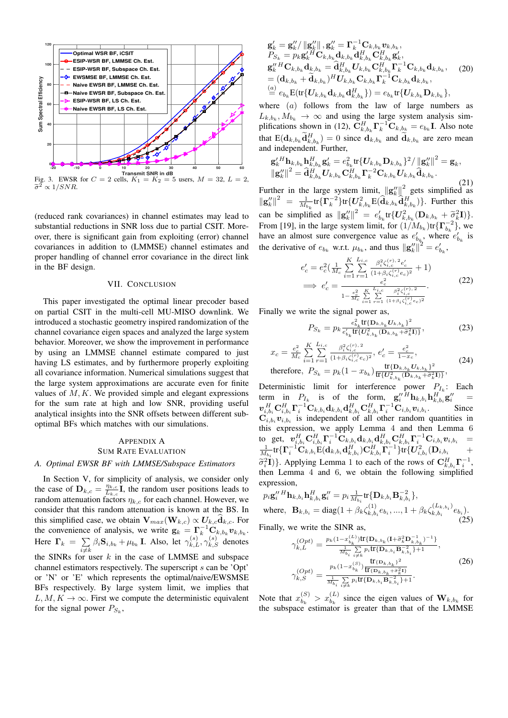

(reduced rank covariances) in channel estimates may lead to substantial reductions in SNR loss due to partial CSIT. Moreover, there is significant gain from exploiting (error) channel covariances in addition to (LMMSE) channel estimates and proper handling of channel error covariance in the direct link in the BF design.

#### VII. CONCLUSION

This paper investigated the optimal linear precoder based on partial CSIT in the multi-cell MU-MISO downlink. We introduced a stochastic geometry inspired randomization of the channel covariance eigen spaces and analyzed the large system behavior. Moreover, we show the improvement in performance by using an LMMSE channel estimate compared to just having LS estimates, and by furthermore properly exploiting all covariance information. Numerical simulations suggest that the large system approximations are accurate even for finite values of  $M, K$ . We provided simple and elegant expressions for the sum rate at high and low SNR, providing useful analytical insights into the SNR offsets between different suboptimal BFs which matches with our simulations.

## APPENDIX A SUM RATE EVALUATION

## *A. Optimal EWSR BF with LMMSE/Subspace Estimators*

In Section V, for simplicity of analysis, we consider only the case of  $\mathbf{D}_{k,c} = \frac{\eta_{k,c}}{L_{k,c}}$  $\frac{\eta_{k,c}}{L_{k,c}}$ **I**, the random user positions leads to random attenuation factors  $\eta_{k,c}$  for each channel. However, we consider that this random attenuation is known at the BS. In this simplified case, we obtain  $V_{max}(W_{k,c}) \propto U_{k,c} d_{k,c}$ . For the convenience of analysis, we write  $\mathbf{g}_k = \Gamma_k^{-1} \mathbf{C}_{k, b_k} \mathbf{v}_{k, b_k}$ . Here  $\Gamma_k = \sum$  $\sum_{i \neq k} \beta_i \mathbf{S}_{i,b_k} + \mu_{b_k}$  I. Also, let  $\gamma_{k,L}^{(s)}, \gamma_{k,S}^{(s)}$  denotes the SINRs for user  $k$  in the case of LMMSE and subspace channel estimators respectively. The superscript s can be 'Opt' or 'N' or 'E' which represents the optimal/naive/EWSMSE BFs respectively. By large system limit, we implies that  $L, M, K \rightarrow \infty$ . First we compute the deterministic equivalent for the signal power  $P_{S_k}$ ,

$$
\mathbf{g}_{k}^{\prime} = \mathbf{g}_{k}^{\prime\prime} / \|\mathbf{g}_{k}^{\prime\prime}\|, \mathbf{g}_{k}^{\prime\prime} = \mathbf{\Gamma}_{k}^{-1} \mathbf{C}_{k,b_{k}} \mathbf{v}_{k,b_{k}}, P_{S_{k}} = p_{k} \mathbf{g}_{k}^{\prime H} \mathbf{C}_{k,b_{k}} \mathbf{d}_{k,b_{k}} \mathbf{d}_{k,b_{k}}^H \mathbf{C}_{k,b_{k}}^H \mathbf{g}_{k}^{\prime}, \n\mathbf{g}_{k}^{\prime\prime H} \mathbf{C}_{k,b_{k}} \mathbf{d}_{k,b_{k}} = \hat{\mathbf{d}}_{k,b_{k}}^H \mathbf{U}_{k,b_{k}} \mathbf{C}_{k,b_{k}}^H \mathbf{\Gamma}_{k}^{-1} \mathbf{C}_{k,b_{k}} \mathbf{d}_{k,b_{k}}, \n= (\mathbf{d}_{k,b_{k}} + \tilde{\mathbf{d}}_{k,b_{k}})^H \mathbf{U}_{k,b_{k}} \mathbf{C}_{k,b_{k}} \mathbf{\Gamma}_{k}^{-1} \mathbf{C}_{k,b_{k}} \mathbf{d}_{k,b_{k}}, \n= e_{b_{k}} \mathbf{E} (\text{tr} \{ \mathbf{U}_{k,b_{k}} \mathbf{d}_{k,b_{k}} \mathbf{d}_{k,b_{k}} \}) = e_{b_{k}} \text{tr} \{ \mathbf{U}_{k,b_{k}} \mathbf{D}_{k,b_{k}} \},
$$

where  $(a)$  follows from the law of large numbers as  $L_{k,b_k}, M_{b_k} \to \infty$  and using the large system analysis simplifications shown in (12),  $\mathbf{C}_{k,b_k}^H \mathbf{\Gamma}_k^{-1} \mathbf{C}_{k,b_k} = e_{b_k} \mathbf{I}$ . Also note that  $E(\mathbf{d}_{k,b_k}\tilde{\mathbf{d}}_{k,b_k}^H)=0$  since  $\mathbf{d}_{k,b_k}$  and  $\tilde{\mathbf{d}}_{k,b_k}$  are zero mean and independent. Further,

$$
\begin{array}{l} {\mathbf{g}^{\prime \, H}_{k} \mathbf{h}_{k,b_{k}} \mathbf{h}_{k,b_{k}}^{H} \mathbf{g}^{\prime}_{k} = e^{2}_{b_{k}} \text{tr} \{ U_{k,b_{k}} \mathbf{D}_{k,b_{k}} \}^{2} / \left\| \mathbf{g}^{\prime \prime}_{k} \right\|^{2} = \mathbf{g}_{k}, \\ \left\| \mathbf{g}^{\prime \prime}_{k} \right\|^{2} = \hat{\mathbf{d}}^{H}_{k,b_{k}} U_{k,b_{k}} \mathbf{C}_{k,b_{k}}^{H} \mathbf{\Gamma}^{-2}_{k} \mathbf{C}_{k,b_{k}} U_{k,b_{k}} \hat{\mathbf{d}}_{k,b_{k}}. \end{array}
$$

(21) Further in the large system limit,  $\left\|\mathbf{g}_{k}^{\prime\prime}\right\|^{2}$  gets simplified as  $\|\mathbf{g}_{k}''\|^2 = \frac{1}{M_{b_k}} \text{tr}\{\Gamma_k^{-2}\} \text{tr}\{U_{k,b_k}^2 \widehat{\mathbf{H}}(\widehat{\mathbf{d}}_{k,b_k} \widehat{\mathbf{d}}_{k,b_k}^H)\}.$  Further this can be simplified as  $\|\mathbf{g}_k''\|^2 = e_{b_k}' \text{tr}\{U_{k,b_k}^2(\mathbf{D}_{k,b_k} + \tilde{\sigma}_k^2 \mathbf{I})\}$ .<br>From [10] in the large system limit, for  $(1/M_{\odot})$  to  $(\mathbf{D}^{-2})$ , we From [19], in the large system limit, for  $(1/M_{b_k})$ tr $\{\Gamma_{b_k}^{-2}\}\,$  we From [19], in the targe system limit, for  $(1/Mb_k)$   $(1)$   $b_k$   $f$ , we have an almost sure convergence value as  $e'_{b_k}$ , where  $e'_{b_k}$  is the derivative of  $e_{b_k}$  w.r.t.  $\mu_{b_k}$ , and thus  $\|\mathbf{g}_k''\|^2 = e_{b_k}'$ ,

$$
e'_{c} = e_{c}^{2} \left( \frac{1}{M_{c}} \sum_{i=1}^{K} \sum_{r=1}^{L_{i,c}} \frac{\beta_{i}^{2} \zeta_{i,c}^{(r)}, 2 e'_{c}}{(1 + \beta_{i} \zeta_{i,c}^{(r)} e_{c})^{2}} + 1 \right)
$$
  
\n
$$
\implies e'_{c} = \frac{e_{c}^{2}}{1 - \frac{e_{c}^{2}}{M_{c}} \sum_{i=1}^{K} \frac{L_{i,c}}{r} \frac{\beta_{i}^{2} \zeta_{i,c}^{(r)}, 2}{(1 + \beta_{i} \zeta_{i,c}^{(r)} e_{c})^{2}}}.
$$
\n(22)

Finally we write the signal power as,

$$
P_{S_k} = p_k \frac{e_{b_k}^2 \text{tr}\{\mathbf{D}_{k,b_k} U_{k,b_k}\}^2}{e_{b_k}' \text{tr}\{U_{k,b_k}^2(\mathbf{D}_{k,b_k} + \tilde{\sigma}_k^2 \mathbf{I})\}},\tag{23}
$$

$$
x_c = \frac{e_c^2}{M_c} \sum_{i=1}^K \sum_{r=1}^{L_{i,c}} \frac{\beta_i^2 \zeta_{i,c}^{(r),2}}{(1+\beta_i \zeta_{i,c}^{(r)} e_c)^2}, \ e_c' = \frac{e_c^2}{1-x_c},
$$
  
therefore,  $P_{S_k} = p_k (1-x_{b_k}) \frac{\text{tr}\{\mathbf{D}_{k,b_k} U_{k,b_k}\}^2}{\text{tr}\{U_{k,b_k}^2(\mathbf{D}_{k,b_k} + \tilde{\sigma}_k^2 \mathbf{I})\}},$  (24)

Deterministic limit for interference power  $P_{I_k}$ : Each term in  $P_{I_k}$  is of the form,  $\mathbf{g}_i''^H \mathbf{h}_{k,b_i} \mathbf{h}_{k,b_i}^H \mathbf{g}_i'' =$  $\bm{v}_{i,b_i}^H\mathbf{C}_{i,b_i}^H\mathbf{\Gamma}_i^{-1}\mathbf{C}_{k,b_i}\mathbf{d}_{k,b_i}\mathbf{d}_{k,b_i}^H\mathbf{C}_{k,b_i}^H\mathbf{\Gamma}_i^{-1}\mathbf{C}_{i,b_i}\bm{v}_{i,b_i}.$  Since  $\mathbf{C}_{i,b_i}$   $\mathbf{v}_{i,b_i}$  is independent of all other random quantities in this expression, we apply Lemma 4 and then Lemma 6 to get, v H i,biC<sup>H</sup> i,b<sup>i</sup> Γ −1 <sup>i</sup> Ck,bidk,bid H k,biC<sup>H</sup> k,b<sup>i</sup> Γ −1 <sup>i</sup> Ci,bivi,b<sup>i</sup> = 1 Mbi tr{Γ −1 <sup>i</sup> Ck,biE(dk,bid H k,b<sup>i</sup> )C<sup>H</sup> k,b<sup>i</sup> Γ −1 i }tr{U<sup>2</sup> i,b<sup>i</sup> (Di,b<sup>i</sup> +  $\tilde{\sigma}_i^2 \hat{\mathbf{I}}$ ). Applying Lemma 1 to each of the rows of  $\mathbf{C}_{k,b_i}^H \mathbf{\Gamma}_i^{-1}$ ,<br>then I amma 4 and 6, we obtain the following simplified then Lemma 4 and 6, we obtain the following simplified expression,

$$
p_i \mathbf{g}_i''^H \mathbf{h}_{k,b_i} \mathbf{h}_{k,b_i}^H \mathbf{g}_i'' = p_i \frac{1}{M_{b_i}} tr{\{\mathbf{D}_{k,b_i} \mathbf{B}_{k,b_i}^{-2}\}} ,
$$
  
where, 
$$
\mathbf{B}_{k,b_i} = \text{diag}(1 + \beta_k \zeta_{k,b_i}^{(1)} e_{b_i}, ..., 1 + \beta_k \zeta_{k,b_i}^{(L_{k,b_i})} e_{b_i}).
$$
 (25)

Finally, we write the SINR as,

$$
\gamma_{k,L}^{(Opt)} = \frac{p_k(1-x_{b_k}^{(L)})\text{tr}\{\mathbf{D}_{k,b_k}(\mathbf{I}+\tilde{\sigma}_k^2\mathbf{D}_{k,b_k}^{-1})^{-1}\}}{\frac{1}{M_{b_i}}\sum\limits_{i\neq k} p_i \text{tr}\{\mathbf{D}_{k,b_i}\mathbf{B}_{k,b_i}^{-2}\} + 1},
$$
\n
$$
\gamma_{k,S}^{(Opt)} = \frac{p_k(1-x_{b_k}^{(S)})\frac{\text{tr}_{\{\mathbf{D}_{k,b_k}\}}\mathbf{B}_{k,b_i}^{-2}\}}{\frac{\text{tr}_{\{\mathbf{D}_{k,b_k}\}}\tilde{\sigma}_k^2\}}{\frac{1}{M_{b_i}}\sum\limits_{i\neq k} p_i \text{tr}\{\mathbf{D}_{k,b_i}\mathbf{B}_{k,b_i}^{-2}\} + 1}.
$$
\n(26)

Note that  $x_{b_k}^{(S)}$  $b_k^{(S)} > x_{b_k}^{(L)}$  since the eigen values of  $\mathbf{W}_{k,b_k}$  for the subspace estimator is greater than that of the LMMSE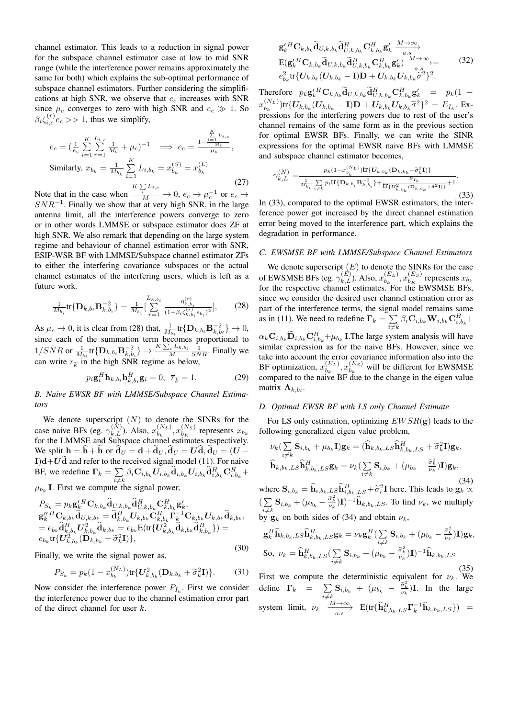channel estimator. This leads to a reduction in signal power for the subspace channel estimator case at low to mid SNR range (while the interference power remains approximately the same for both) which explains the sub-optimal performance of subspace channel estimators. Further considering the simplifications at high SNR, we observe that  $e_c$  increases with SNR since  $\mu_c$  converges to zero with high SNR and  $e_c \gg 1$ . So  $\beta_i \zeta_{i,c}^{(r)} e_c >> 1$ , thus we simplify,

$$
e_c = \left(\frac{1}{e_c} \sum_{i=1}^{K} \sum_{r=1}^{L_{i,c}} \frac{1}{M_c} + \mu_c\right)^{-1} \implies e_c = \frac{1 - \frac{\sum_{i=1}^{K} L_{i,c}}{M_c}}{\mu_c},
$$
  
\nSimilarly,  $x_{b_k} = \frac{1}{M_{b_k}} \sum_{i=1}^{K} L_{i,b_k} = x_{b_k}^{(S)} = x_{b_k}^{(L)}.$  (27)

Note that in the case when  $\frac{K\sum_{i}L_{i,c}}{M}\to 0, e_c\to \mu_c^{-1}$  or  $e_c\to$  $SNR^{-1}$ . Finally we show that at very high SNR, in the large antenna limit, all the interference powers converge to zero or in other words LMMSE or subspace estimator does ZF at high SNR. We also remark that depending on the large system regime and behaviour of channel estimation error with SNR, ESIP-WSR BF with LMMSE/Subspace channel estimator ZFs to either the interfering covariance subspaces or the actual channel estimates of the interfering users, which is left as a future work.

$$
\frac{1}{M_{b_i}} \text{tr} \{ \mathbf{D}_{k, b_i} \mathbf{B}_{k, b_i}^{-2} \} = \frac{1}{M_{b_i}} \left[ \sum_{r=1}^{L_{k, b_i}} \frac{\eta_{k, b_i}^{(r)}}{(1 + \beta_i \zeta_{k, b_i}^{(r)} e_{b_i})^2} \right], \tag{28}
$$

As  $\mu_c \to 0$ , it is clear from (28) that,  $\frac{1}{M_{b_i}}$  tr $\{ \mathbf{D}_{k,b_i} \mathbf{B}_{k,b_i}^{-2} \} \to 0$ , since each of the summation term becomes proportional to  $1/SNR$  or  $\frac{1}{M_{b_i}}$ tr $\{D_{k,b_i}B_{k,b_i}^{-2}\}\rightarrow \frac{K\sum_{i}L_{k,b_i}}{M}\frac{1}{SNR}$ . Finally we can write  $r_{\overline{k}}$  in the high SNR regime as below,

$$
p_i \mathbf{g}_i^H \mathbf{h}_{k, b_i} \mathbf{h}_{k, b_i}^H \mathbf{g}_i = 0, \ \overline{r}_{\overline{k}} = 1.
$$
 (29)

*B. Naive EWSR BF with LMMSE/Subspace Channel Estimators*

We denote superscript  $(N)$  to denote the SINRs for the case naive BFs (eg.  $\gamma_{k,L}^{(N)}$ ). Also,  $x_{b_k}^{(N_L)}$  $b_{k}^{(N_L)}, x_{b_K}^{(N_S)}$  $b_K^{(N_S)}$  represents  $x_{b_k}$ for the LMMSE and Subspace channel estimates respectively. We split  $h = h + h$  or  $d_U = d + d_U$ ,  $d_U = Ud$ ,  $d_U = (U I)d+Ud$  and refer to the received signal model (11). For naive BF, we redefine  $\Gamma_k = \sum$  $\sum_{i\neq k} \beta_i \mathbf{C}_{i,b_k} \boldsymbol{U}_{i,b_k} \widehat{\mathbf{d}}_{i,b_k} \boldsymbol{U}_{i,b_k} \widehat{\mathbf{d}}_{i,b_k}^H \mathbf{C}_{i,b_k}^H +$ 

 $\mu_{b_k}$  I. First we compute the signal power,

$$
P_{S_k} = p_k \mathbf{g}'_k{}^H \mathbf{C}_{k,b_k} \tilde{\mathbf{d}}_{U,k,b_k} \tilde{\mathbf{d}}_{U,k,b_k}^H \mathbf{C}_{k,b_k}^H \mathbf{g}'_k, \n\mathbf{g}''_k{}^H \mathbf{C}_{k,b_k} \tilde{\mathbf{d}}_{U,k,b_k} = \tilde{\mathbf{d}}_{k,b_k}^H \mathbf{U}_{k,b_k} \mathbf{C}_{k,b_k}^H \mathbf{\Gamma}_k^{-1} \mathbf{C}_{k,b_k} \mathbf{U}_{k,b_k} \tilde{\mathbf{d}}_{k,b_k}, \n= e_{b_k} \hat{\mathbf{d}}_{k,b_k}^H \mathbf{U}_{k,b_k}^2 \tilde{\mathbf{d}}_{k,b_k} = e_{b_k} \mathbf{E} (\text{tr} \{ \mathbf{U}_{k,b_k}^2 \hat{\mathbf{d}}_{k,b_k} \hat{\mathbf{d}}_{k,b_k}^H \}) = \n e_{b_k} \text{tr} \{ \mathbf{U}_{k,b_k}^2 (\mathbf{D}_{k,b_k} + \tilde{\sigma}_k^2 \mathbf{I}) \},
$$
\n(30)

Finally, we write the signal power as,

$$
P_{S_k} = p_k (1 - x_{b_k}^{(N_L)}) \text{tr} \{ U_{k,b_k}^2 (\mathbf{D}_{k,b_k} + \tilde{\sigma}_k^2 \mathbf{I}) \}.
$$
 (31)

Now consider the interference power  $P_{I_k}$ . First we consider the interference power due to the channel estimation error part of the direct channel for user k.

$$
\mathbf{g}_{k}^{\prime H} \mathbf{C}_{k,b_{k}} \widetilde{\mathbf{d}}_{U,k,b_{k}} \widetilde{\mathbf{d}}_{U,k,b_{k}}^H \mathbf{C}_{k,b_{k}}^H \mathbf{g}_{k}^{\prime} \xrightarrow[a.s]{M \to \infty} \n\mathbf{E}(\mathbf{g}_{k}^{\prime H} \mathbf{C}_{k,b_{k}} \widetilde{\mathbf{d}}_{U,k,b_{k}}^H \widetilde{\mathbf{d}}_{U,k,b_{k}}^H \mathbf{C}_{k,b_{k}}^H \mathbf{g}_{k}^{\prime}) \xrightarrow[a.s]{M \to \infty} \ne_{b_{k}}^{2} \text{tr} \{ \mathbf{U}_{k,b_{k}} (\mathbf{U}_{k,b_{k}} - \mathbf{I}) \mathbf{D} + \mathbf{U}_{k,b_{k}} \mathbf{U}_{k,b_{k}} \widetilde{\sigma}^2 \}^{2}.
$$
\n(32)

Therefore  $p_k \mathbf{g}_k^{\prime H} \mathbf{C}_{k,b_k} \tilde{\mathbf{d}}_{U,k,b_k} \tilde{\mathbf{d}}_{U,k,b_k}^H \mathbf{C}_{k,b_k}^H \mathbf{g}_k^{\prime} = p_k(1 - \mathbf{g}_k)$  $x_{h}^{(N_L)}$  $\sum_{b_k}^{(N_L)}$ )tr $\{U_{k,b_k}(U_{k,b_k}-\mathbf{I})\mathbf{D}+U_{k,b_k}U_{k,b_k}\tilde{\sigma}^2\}^2 = E_{I_k}$ . Expressions for the interfering powers due to rest of the user's channel remains of the same form as in the previous section for optimal EWSR BFs. Finally, we can write the SINR expressions for the optimal EWSR naive BFs with LMMSE and subspace channel estimator becomes,

$$
\gamma_{k,L}^{(N)} = \frac{p_k (1 - x_{b_k}^{(N_L)}) \text{tr}\{U_{k,b_k} (D_{k,b_k} + \tilde{\sigma}_k^2 I)\}}{\frac{1}{M_{b_i}} \sum\limits_{i \neq k} p_i \text{tr}\{D_{k,b_i} B_{k,b_i}^{-2}\} + \frac{E_{I_k}}{\text{tr}\{U_{k,b_k}^2 (D_{k,b_k} + \tilde{\sigma}^2 I)\}} + 1}.
$$
\n(33)

In (33), compared to the optimal EWSR estimators, the interference power got increased by the direct channel estimation error being moved to the interference part, which explains the degradation in performance.

## *C. EWSMSE BF with LMMSE/Subspace Channel Estimators*

We denote superscript  $(E)$  to denote the SINRs for the case of EWSMSE BFs (eg.  $\gamma_{k,L}^{(E)}$ ). Also,  $x_{b_k}^{(E_L)}$  $\binom{(E_L)}{b_k}, x_{b_K}^{(E_S)}$  $b_K^{(ES)}$  represents  $x_{b_k}$ for the respective channel estimates. For the EWSMSE BFs, since we consider the desired user channel estimation error as part of the interference terms, the signal model remains same as in (11). We need to redefine  $\Gamma_k = \sum$  $\sum\limits_{i \neq k}\beta_i \mathbf{C}_{i,b_k}\mathbf{W}_{i,b_k}\mathbf{C}_{i,b_k}^H+$  $\alpha_k \mathbf{C}_{i,b_k} \mathbf{D}_{i,b_k} \mathbf{C}_{i,b_k}^H + \mu_{b_k} \mathbf{I}$ . The large system analysis will have

similar expression as for the naive BFs. However, since we take into account the error covariance information also into the BF optimization,  $x_{b_k}^{(E_L)}$  $\binom{(E_L)}{b_k}, x_{b_k}^{(E_S)}$  $b_k^{(ES)}$  will be different for EWSMSE compared to the naive BF due to the change in the eigen value matrix  $\mathbf{\Lambda}_{k,b_i}$ .

## *D. Optimal EWSR BF with LS only Channel Estimate*

For LS only estimation, optimizing  $EWSR(g)$  leads to the following generalized eigen value problem,

$$
\nu_k \left( \sum_{i \neq k} \mathbf{S}_{i,b_k} + \mu_{b_k} \mathbf{I} \right) \mathbf{g}_k = \left( \widehat{\mathbf{h}}_{k,b_k,LS} \widehat{\mathbf{h}}_{k,b_k,LS}^H + \widetilde{\sigma}_k^2 \mathbf{I} \right) \mathbf{g}_k,
$$
\n
$$
\widehat{\mathbf{h}}_{k,b_k,LS} \widehat{\mathbf{h}}_{k,b_k,LS}^H \mathbf{g}_k = \nu_k \left( \sum_{i \neq k} \mathbf{S}_{i,b_k} + (\mu_{b_k} - \frac{\widetilde{\sigma}_k^2}{\nu_k}) \mathbf{I} \right) \mathbf{g}_k.
$$

where  $\mathbf{S}_{i,b_k} = \widehat{\mathbf{h}}_{i,b_k,LS} \widehat{\mathbf{h}}_{i,b_k,LS}^H + \widetilde{\sigma}_i^2 \mathbf{I}$  here. This leads to  $\mathbf{g}_k \propto \widehat{\mathbf{h}}_{i,k}$  $(\sum)$  $\sum_{i \neq k}$ **S**<sub>i,b<sub>k</sub></sub> + ( $\mu_{b_k} - \frac{\tilde{\sigma}_k^2}{\nu_k}$ )**I**)<sup>-1</sup>**h**<sub>k,b<sub>k</sub>,*LS*. To find  $\nu_k$ , we multiply</sub> by  $\mathbf{g}_k$  on both sides of (34) and obtain  $\nu_k$ ,

$$
\mathbf{g}_{k}^{H}\widehat{\mathbf{h}}_{k,b_{k},LS}\widehat{\mathbf{h}}_{k,b_{k},LS}^{H}\mathbf{g}_{k} = \nu_{k}\mathbf{g}_{k}^{H}\left(\sum_{i\neq k}\mathbf{S}_{i,b_{k}}+(\mu_{b_{k}}-\frac{\widetilde{\sigma}_{k}^{2}}{\nu_{k}})\mathbf{I}\right)\mathbf{g}_{k},
$$
  
So,  $\nu_{k} = \widehat{\mathbf{h}}_{k,b_{k},LS}^{H}\left(\sum_{i\neq k}\mathbf{S}_{i,b_{k}}+(\mu_{b_{k}}-\frac{\widetilde{\sigma}_{k}^{2}}{\nu_{k}})\mathbf{I}\right)^{-1}\widehat{\mathbf{h}}_{k,b_{k},LS}$  (35)

First we compute the deterministic equivalent for  $\nu_k$ . We define  $\Gamma_k$  =  $\sum$  $\sum_{i \neq k} \mathbf{S}_{i,b_k} + (\mu_{b_k} - \frac{\tilde{\sigma}_k^2}{\nu_k})\mathbf{I}$ . In the large system limit,  $\nu_k \xrightarrow[a.s]{M \to \infty} E(tr{\{\hat{\mathbf{h}}_{k,b_k,LS}^H\mathbf{\Gamma}_k^{-1}\hat{\mathbf{h}}_{k,b_k,LS}\}})$  =